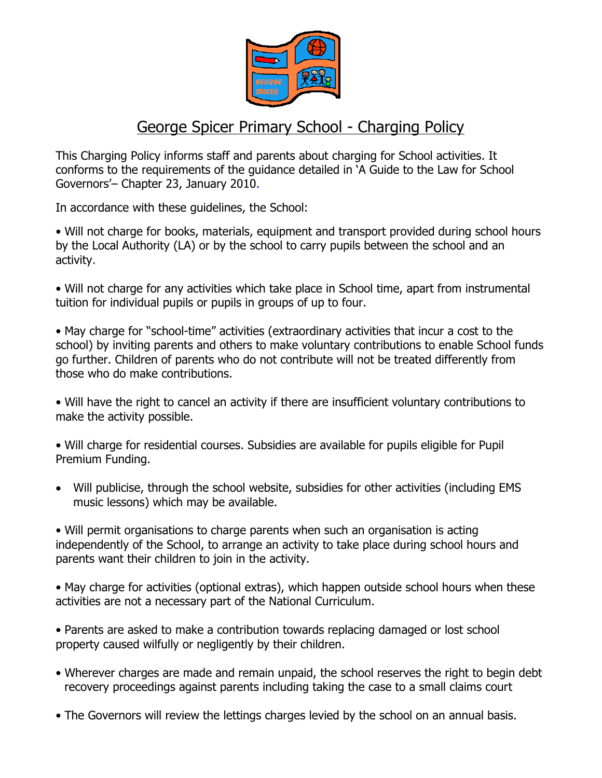

## George Spicer Primary School - Charging Policy

This Charging Policy informs staff and parents about charging for School activities. It conforms to the requirements of the guidance detailed in 'A Guide to the Law for School Governors'– Chapter 23, January 2010.

In accordance with these guidelines, the School:

• Will not charge for books, materials, equipment and transport provided during school hours by the Local Authority (LA) or by the school to carry pupils between the school and an activity.

• Will not charge for any activities which take place in School time, apart from instrumental tuition for individual pupils or pupils in groups of up to four.

• May charge for "school-time" activities (extraordinary activities that incur a cost to the school) by inviting parents and others to make voluntary contributions to enable School funds go further. Children of parents who do not contribute will not be treated differently from those who do make contributions.

• Will have the right to cancel an activity if there are insufficient voluntary contributions to make the activity possible.

• Will charge for residential courses. Subsidies are available for pupils eligible for Pupil Premium Funding.

 Will publicise, through the school website, subsidies for other activities (including EMS music lessons) which may be available.

• Will permit organisations to charge parents when such an organisation is acting independently of the School, to arrange an activity to take place during school hours and parents want their children to join in the activity.

• May charge for activities (optional extras), which happen outside school hours when these activities are not a necessary part of the National Curriculum.

• Parents are asked to make a contribution towards replacing damaged or lost school property caused wilfully or negligently by their children.

- Wherever charges are made and remain unpaid, the school reserves the right to begin debt recovery proceedings against parents including taking the case to a small claims court
- The Governors will review the lettings charges levied by the school on an annual basis.